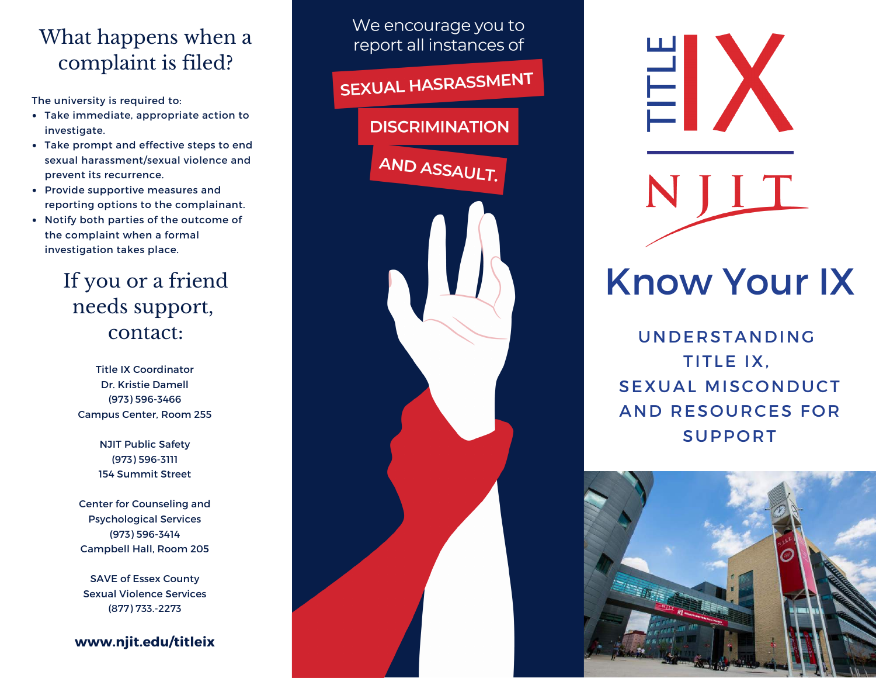# What happens when a complaint is filed?

- Take immediate, appropriate action to investigate.
- Take prompt and effective steps to end sexual harassment/sexual violence and prevent its recurrence. The university is required to:<br>• Take immediate, appropri<br>investigate.<br>• Take prompt and effective<br>sexual harassment/sexual<br>prevent its recurrence.<br>• Provide supportive measu<br>reporting options to the c<br>• Notify both partie
- Provide supportive measures and reporting options to the complainant.
- Notify both parties of the outcome of the complaint when a formal

# If you or a friend needs support, contact:

Title IX Coordinat o r Dr. Kristie Damell (973) 596-3466 Campus Center, Room 255

> **NJIT Public Safety** (973) 596-3111 154 Summit Street

Center for Counseling and Psychological Services (973) 596-3414 Campbell Hall, Room 205

SAVE of Essex County Sexual Violence Services (877) 733.-2273

**www . nj i t . e d u /t i t l e i x**

We encourage you to report all instances of SEXUAL HASRASSMENT **DISCRIMINATION** AND ASSAULT.



# Know Your IX

**UNDERSTANDING** TIT L E IX , SEXUAL MISCONDUCT AND RESOURCES FOR **SUPPORT**